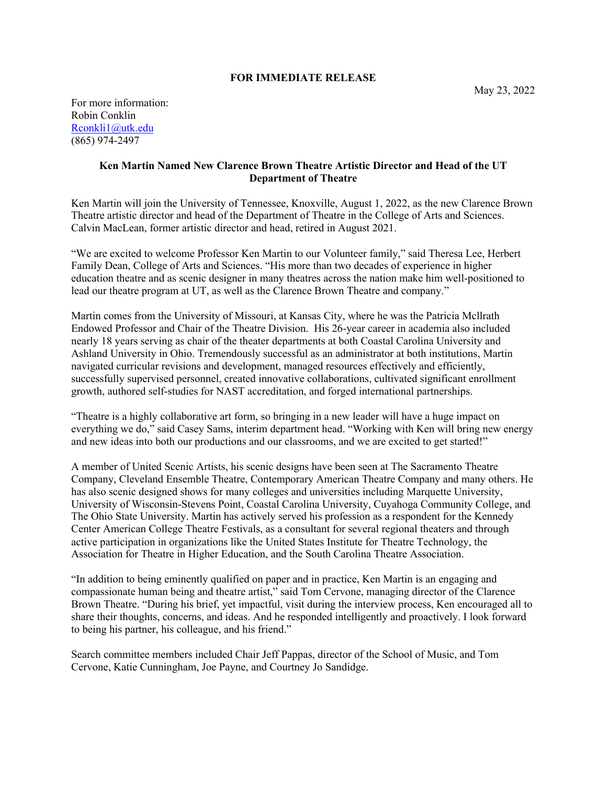## **FOR IMMEDIATE RELEASE**

For more information: Robin Conklin Rconkli1@utk.edu (865) 974-2497

## **Ken Martin Named New Clarence Brown Theatre Artistic Director and Head of the UT Department of Theatre**

Ken Martin will join the University of Tennessee, Knoxville, August 1, 2022, as the new Clarence Brown Theatre artistic director and head of the Department of Theatre in the College of Arts and Sciences. Calvin MacLean, former artistic director and head, retired in August 2021.

"We are excited to welcome Professor Ken Martin to our Volunteer family," said Theresa Lee, Herbert Family Dean, College of Arts and Sciences. "His more than two decades of experience in higher education theatre and as scenic designer in many theatres across the nation make him well-positioned to lead our theatre program at UT, as well as the Clarence Brown Theatre and company."

Martin comes from the University of Missouri, at Kansas City, where he was the Patricia Mcllrath Endowed Professor and Chair of the Theatre Division. His 26-year career in academia also included nearly 18 years serving as chair of the theater departments at both Coastal Carolina University and Ashland University in Ohio. Tremendously successful as an administrator at both institutions, Martin navigated curricular revisions and development, managed resources effectively and efficiently, successfully supervised personnel, created innovative collaborations, cultivated significant enrollment growth, authored self-studies for NAST accreditation, and forged international partnerships.

"Theatre is a highly collaborative art form, so bringing in a new leader will have a huge impact on everything we do," said Casey Sams, interim department head. "Working with Ken will bring new energy and new ideas into both our productions and our classrooms, and we are excited to get started!"

A member of United Scenic Artists, his scenic designs have been seen at The Sacramento Theatre Company, Cleveland Ensemble Theatre, Contemporary American Theatre Company and many others. He has also scenic designed shows for many colleges and universities including Marquette University, University of Wisconsin-Stevens Point, Coastal Carolina University, Cuyahoga Community College, and The Ohio State University. Martin has actively served his profession as a respondent for the Kennedy Center American College Theatre Festivals, as a consultant for several regional theaters and through active participation in organizations like the United States Institute for Theatre Technology, the Association for Theatre in Higher Education, and the South Carolina Theatre Association.

"In addition to being eminently qualified on paper and in practice, Ken Martin is an engaging and compassionate human being and theatre artist," said Tom Cervone, managing director of the Clarence Brown Theatre. "During his brief, yet impactful, visit during the interview process, Ken encouraged all to share their thoughts, concerns, and ideas. And he responded intelligently and proactively. I look forward to being his partner, his colleague, and his friend."

Search committee members included Chair Jeff Pappas, director of the School of Music, and Tom Cervone, Katie Cunningham, Joe Payne, and Courtney Jo Sandidge.